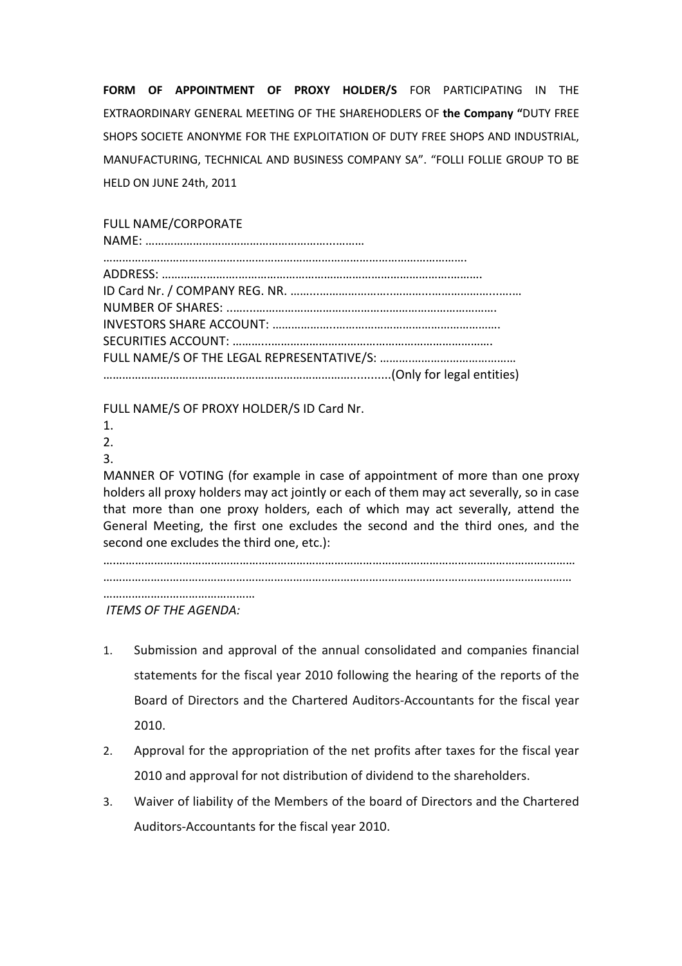FORM OF APPOINTMENT OF PROXY HOLDER/S FOR PARTICIPATING IN THE EXTRAORDINARY GENERAL MEETING OF THE SHAREHODLERS OF the Company "DUTY FREE SHOPS SOCIETE ANONYME FOR THE EXPLOITATION OF DUTY FREE SHOPS AND INDUSTRIAL, MANUFACTURING, TECHNICAL AND BUSINESS COMPANY SA". "FOLLI FOLLIE GROUP TO BE HELD ON JUNE 24th, 2011

## FULL NAME/CORPORATE

FULL NAME/S OF PROXY HOLDER/S ID Card Nr.

- 1.
- 2. 3.

MANNER OF VOTING (for example in case of appointment of more than one proxy holders all proxy holders may act jointly or each of them may act severally, so in case that more than one proxy holders, each of which may act severally, attend the General Meeting, the first one excludes the second and the third ones, and the second one excludes the third one, etc.):

….……………………………………………………………………………………………………………………….………

……………………………………………………………………………………………….…………………………………

…………………………………………

ITEMS OF THE AGENDA:

- 1. Submission and approval of the annual consolidated and companies financial statements for the fiscal year 2010 following the hearing of the reports of the Board of Directors and the Chartered Auditors-Accountants for the fiscal year 2010.
- 2. Approval for the appropriation of the net profits after taxes for the fiscal year 2010 and approval for not distribution of dividend to the shareholders.
- 3. Waiver of liability of the Members of the board of Directors and the Chartered Auditors-Accountants for the fiscal year 2010.